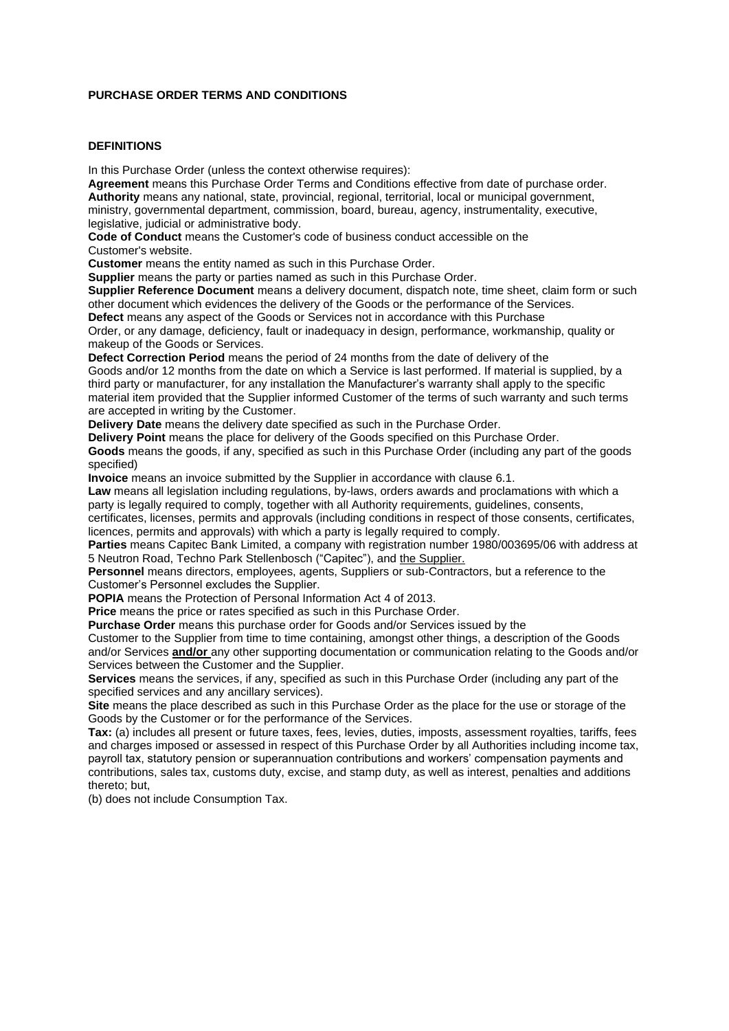#### **PURCHASE ORDER TERMS AND CONDITIONS**

#### **DEFINITIONS**

In this Purchase Order (unless the context otherwise requires):

**Agreement** means this Purchase Order Terms and Conditions effective from date of purchase order. **Authority** means any national, state, provincial, regional, territorial, local or municipal government, ministry, governmental department, commission, board, bureau, agency, instrumentality, executive, legislative, judicial or administrative body.

**Code of Conduct** means the Customer's code of business conduct accessible on the Customer's website.

**Customer** means the entity named as such in this Purchase Order.

**Supplier** means the party or parties named as such in this Purchase Order.

**Supplier Reference Document** means a delivery document, dispatch note, time sheet, claim form or such other document which evidences the delivery of the Goods or the performance of the Services. **Defect** means any aspect of the Goods or Services not in accordance with this Purchase

Order, or any damage, deficiency, fault or inadequacy in design, performance, workmanship, quality or makeup of the Goods or Services.

**Defect Correction Period** means the period of 24 months from the date of delivery of the

Goods and/or 12 months from the date on which a Service is last performed. If material is supplied, by a third party or manufacturer, for any installation the Manufacturer's warranty shall apply to the specific material item provided that the Supplier informed Customer of the terms of such warranty and such terms are accepted in writing by the Customer.

**Delivery Date** means the delivery date specified as such in the Purchase Order.

**Delivery Point** means the place for delivery of the Goods specified on this Purchase Order.

**Goods** means the goods, if any, specified as such in this Purchase Order (including any part of the goods specified)

**Invoice** means an invoice submitted by the Supplier in accordance with clause 6.1.

**Law** means all legislation including regulations, by-laws, orders awards and proclamations with which a party is legally required to comply, together with all Authority requirements, guidelines, consents,

certificates, licenses, permits and approvals (including conditions in respect of those consents, certificates, licences, permits and approvals) with which a party is legally required to comply.

**Parties** means Capitec Bank Limited, a company with registration number 1980/003695/06 with address at 5 Neutron Road, Techno Park Stellenbosch ("Capitec"), and the Supplier.

**Personnel** means directors, employees, agents, Suppliers or sub-Contractors, but a reference to the Customer's Personnel excludes the Supplier.

**POPIA** means the Protection of Personal Information Act 4 of 2013.

**Price** means the price or rates specified as such in this Purchase Order.

**Purchase Order** means this purchase order for Goods and/or Services issued by the

Customer to the Supplier from time to time containing, amongst other things, a description of the Goods and/or Services **and/or** any other supporting documentation or communication relating to the Goods and/or Services between the Customer and the Supplier.

**Services** means the services, if any, specified as such in this Purchase Order (including any part of the specified services and any ancillary services).

**Site** means the place described as such in this Purchase Order as the place for the use or storage of the Goods by the Customer or for the performance of the Services.

**Tax:** (a) includes all present or future taxes, fees, levies, duties, imposts, assessment royalties, tariffs, fees and charges imposed or assessed in respect of this Purchase Order by all Authorities including income tax, payroll tax, statutory pension or superannuation contributions and workers' compensation payments and contributions, sales tax, customs duty, excise, and stamp duty, as well as interest, penalties and additions thereto; but,

(b) does not include Consumption Tax.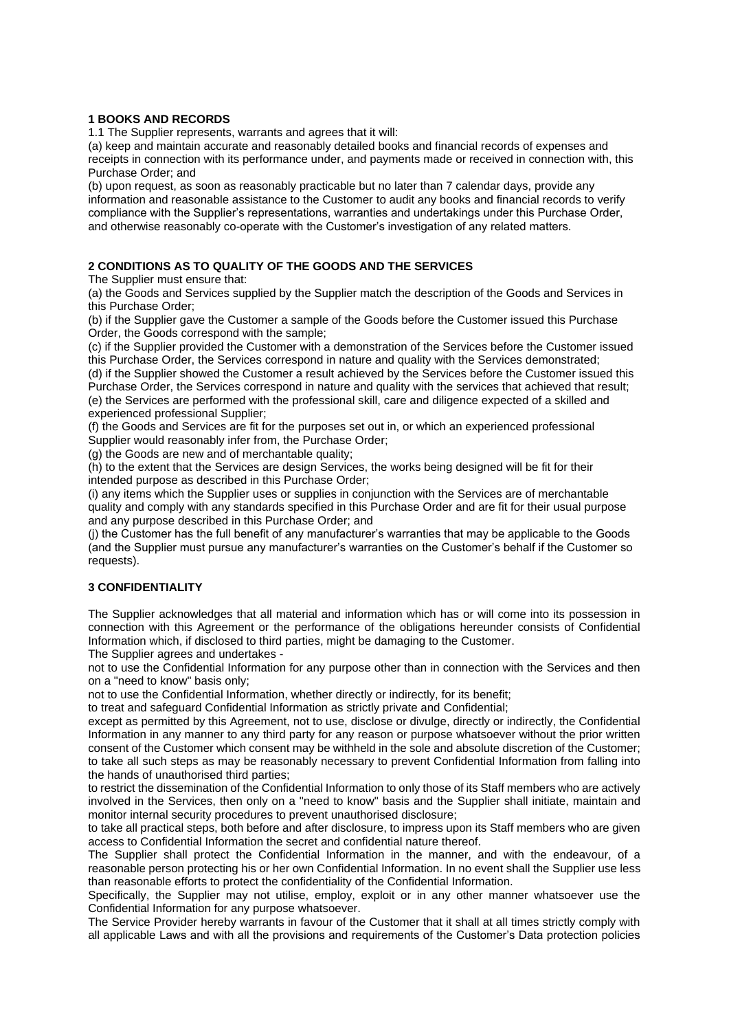#### **1 BOOKS AND RECORDS**

1.1 The Supplier represents, warrants and agrees that it will:

(a) keep and maintain accurate and reasonably detailed books and financial records of expenses and receipts in connection with its performance under, and payments made or received in connection with, this Purchase Order; and

(b) upon request, as soon as reasonably practicable but no later than 7 calendar days, provide any information and reasonable assistance to the Customer to audit any books and financial records to verify compliance with the Supplier's representations, warranties and undertakings under this Purchase Order, and otherwise reasonably co-operate with the Customer's investigation of any related matters.

#### **2 CONDITIONS AS TO QUALITY OF THE GOODS AND THE SERVICES**

The Supplier must ensure that:

(a) the Goods and Services supplied by the Supplier match the description of the Goods and Services in this Purchase Order;

(b) if the Supplier gave the Customer a sample of the Goods before the Customer issued this Purchase Order, the Goods correspond with the sample;

(c) if the Supplier provided the Customer with a demonstration of the Services before the Customer issued this Purchase Order, the Services correspond in nature and quality with the Services demonstrated;

(d) if the Supplier showed the Customer a result achieved by the Services before the Customer issued this Purchase Order, the Services correspond in nature and quality with the services that achieved that result; (e) the Services are performed with the professional skill, care and diligence expected of a skilled and experienced professional Supplier;

(f) the Goods and Services are fit for the purposes set out in, or which an experienced professional Supplier would reasonably infer from, the Purchase Order;

(g) the Goods are new and of merchantable quality;

(h) to the extent that the Services are design Services, the works being designed will be fit for their intended purpose as described in this Purchase Order;

(i) any items which the Supplier uses or supplies in conjunction with the Services are of merchantable quality and comply with any standards specified in this Purchase Order and are fit for their usual purpose and any purpose described in this Purchase Order; and

(j) the Customer has the full benefit of any manufacturer's warranties that may be applicable to the Goods (and the Supplier must pursue any manufacturer's warranties on the Customer's behalf if the Customer so requests).

# **3 CONFIDENTIALITY**

The Supplier acknowledges that all material and information which has or will come into its possession in connection with this Agreement or the performance of the obligations hereunder consists of Confidential Information which, if disclosed to third parties, might be damaging to the Customer.

The Supplier agrees and undertakes -

not to use the Confidential Information for any purpose other than in connection with the Services and then on a "need to know" basis only;

not to use the Confidential Information, whether directly or indirectly, for its benefit;

to treat and safeguard Confidential Information as strictly private and Confidential;

except as permitted by this Agreement, not to use, disclose or divulge, directly or indirectly, the Confidential Information in any manner to any third party for any reason or purpose whatsoever without the prior written consent of the Customer which consent may be withheld in the sole and absolute discretion of the Customer; to take all such steps as may be reasonably necessary to prevent Confidential Information from falling into the hands of unauthorised third parties;

to restrict the dissemination of the Confidential Information to only those of its Staff members who are actively involved in the Services, then only on a "need to know" basis and the Supplier shall initiate, maintain and monitor internal security procedures to prevent unauthorised disclosure;

to take all practical steps, both before and after disclosure, to impress upon its Staff members who are given access to Confidential Information the secret and confidential nature thereof.

The Supplier shall protect the Confidential Information in the manner, and with the endeavour, of a reasonable person protecting his or her own Confidential Information. In no event shall the Supplier use less than reasonable efforts to protect the confidentiality of the Confidential Information.

Specifically, the Supplier may not utilise, employ, exploit or in any other manner whatsoever use the Confidential Information for any purpose whatsoever.

The Service Provider hereby warrants in favour of the Customer that it shall at all times strictly comply with all applicable Laws and with all the provisions and requirements of the Customer's Data protection policies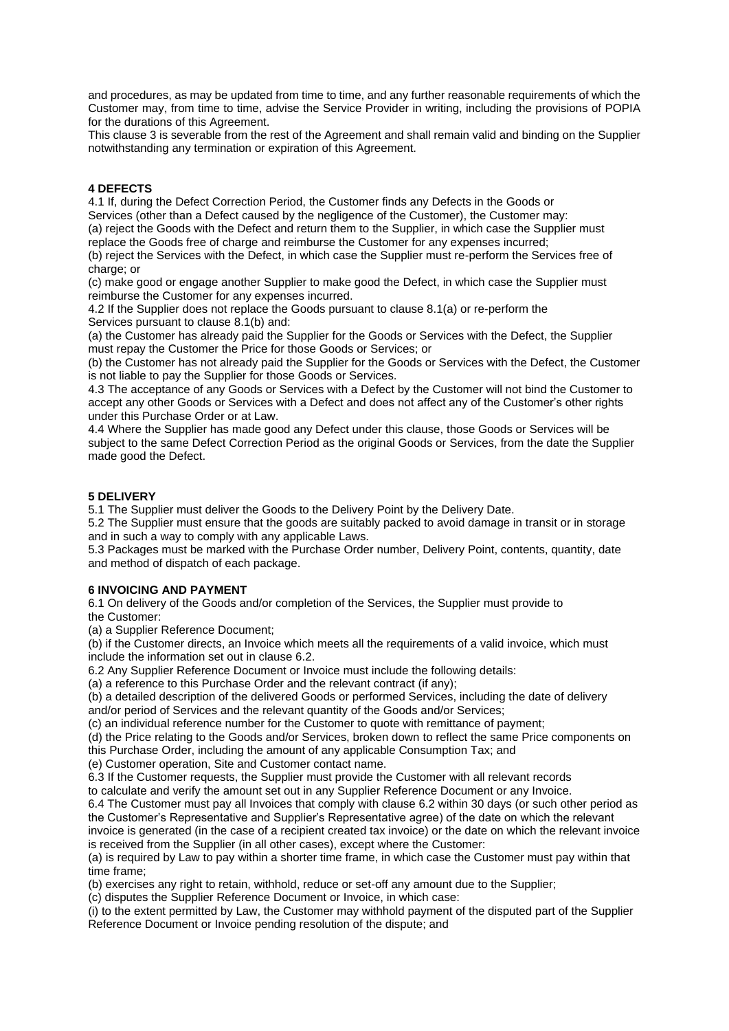and procedures, as may be updated from time to time, and any further reasonable requirements of which the Customer may, from time to time, advise the Service Provider in writing, including the provisions of POPIA for the durations of this Agreement.

This clause 3 is severable from the rest of the Agreement and shall remain valid and binding on the Supplier notwithstanding any termination or expiration of this Agreement.

### **4 DEFECTS**

4.1 If, during the Defect Correction Period, the Customer finds any Defects in the Goods or Services (other than a Defect caused by the negligence of the Customer), the Customer may:

(a) reject the Goods with the Defect and return them to the Supplier, in which case the Supplier must replace the Goods free of charge and reimburse the Customer for any expenses incurred;

(b) reject the Services with the Defect, in which case the Supplier must re-perform the Services free of charge; or

(c) make good or engage another Supplier to make good the Defect, in which case the Supplier must reimburse the Customer for any expenses incurred.

4.2 If the Supplier does not replace the Goods pursuant to clause 8.1(a) or re-perform the Services pursuant to clause 8.1(b) and:

(a) the Customer has already paid the Supplier for the Goods or Services with the Defect, the Supplier must repay the Customer the Price for those Goods or Services; or

(b) the Customer has not already paid the Supplier for the Goods or Services with the Defect, the Customer is not liable to pay the Supplier for those Goods or Services.

4.3 The acceptance of any Goods or Services with a Defect by the Customer will not bind the Customer to accept any other Goods or Services with a Defect and does not affect any of the Customer's other rights under this Purchase Order or at Law.

4.4 Where the Supplier has made good any Defect under this clause, those Goods or Services will be subject to the same Defect Correction Period as the original Goods or Services, from the date the Supplier made good the Defect.

#### **5 DELIVERY**

5.1 The Supplier must deliver the Goods to the Delivery Point by the Delivery Date.

5.2 The Supplier must ensure that the goods are suitably packed to avoid damage in transit or in storage and in such a way to comply with any applicable Laws.

5.3 Packages must be marked with the Purchase Order number, Delivery Point, contents, quantity, date and method of dispatch of each package.

#### **6 INVOICING AND PAYMENT**

6.1 On delivery of the Goods and/or completion of the Services, the Supplier must provide to the Customer:

(a) a Supplier Reference Document;

(b) if the Customer directs, an Invoice which meets all the requirements of a valid invoice, which must include the information set out in clause 6.2.

6.2 Any Supplier Reference Document or Invoice must include the following details:

(a) a reference to this Purchase Order and the relevant contract (if any);

(b) a detailed description of the delivered Goods or performed Services, including the date of delivery and/or period of Services and the relevant quantity of the Goods and/or Services;

(c) an individual reference number for the Customer to quote with remittance of payment;

(d) the Price relating to the Goods and/or Services, broken down to reflect the same Price components on this Purchase Order, including the amount of any applicable Consumption Tax; and

(e) Customer operation, Site and Customer contact name.

6.3 If the Customer requests, the Supplier must provide the Customer with all relevant records

to calculate and verify the amount set out in any Supplier Reference Document or any Invoice.

6.4 The Customer must pay all Invoices that comply with clause 6.2 within 30 days (or such other period as the Customer's Representative and Supplier's Representative agree) of the date on which the relevant invoice is generated (in the case of a recipient created tax invoice) or the date on which the relevant invoice

is received from the Supplier (in all other cases), except where the Customer:

(a) is required by Law to pay within a shorter time frame, in which case the Customer must pay within that time frame;

(b) exercises any right to retain, withhold, reduce or set-off any amount due to the Supplier;

(c) disputes the Supplier Reference Document or Invoice, in which case:

(i) to the extent permitted by Law, the Customer may withhold payment of the disputed part of the Supplier Reference Document or Invoice pending resolution of the dispute; and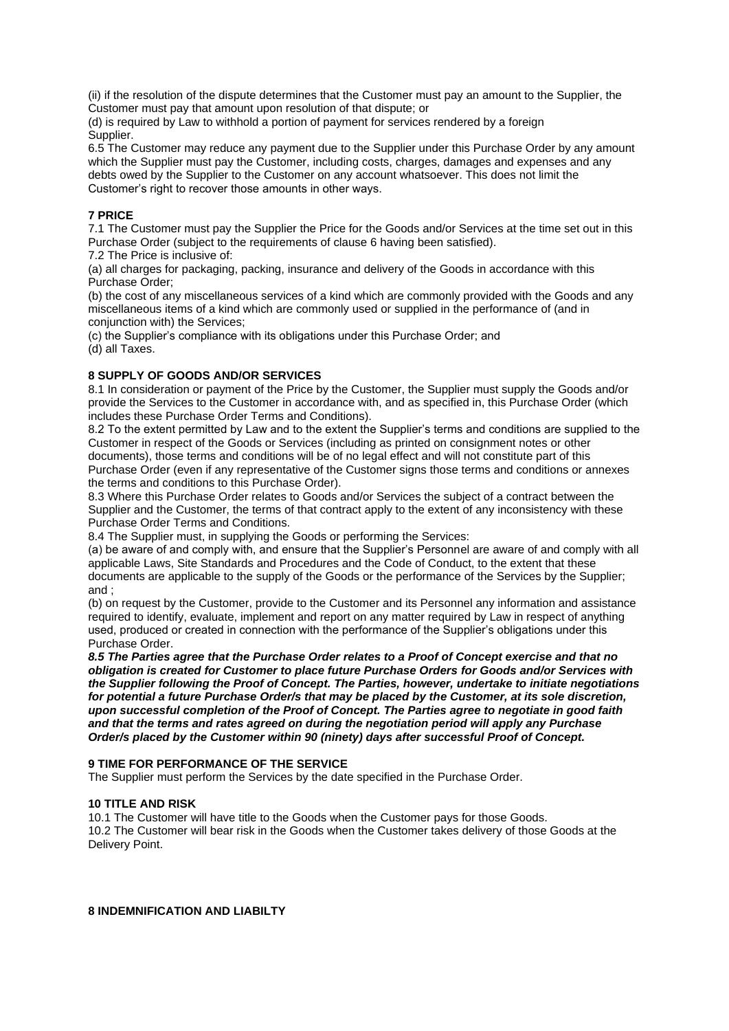(ii) if the resolution of the dispute determines that the Customer must pay an amount to the Supplier, the Customer must pay that amount upon resolution of that dispute; or

(d) is required by Law to withhold a portion of payment for services rendered by a foreign Supplier.

6.5 The Customer may reduce any payment due to the Supplier under this Purchase Order by any amount which the Supplier must pay the Customer, including costs, charges, damages and expenses and any debts owed by the Supplier to the Customer on any account whatsoever. This does not limit the Customer's right to recover those amounts in other ways.

### **7 PRICE**

7.1 The Customer must pay the Supplier the Price for the Goods and/or Services at the time set out in this Purchase Order (subject to the requirements of clause 6 having been satisfied).

7.2 The Price is inclusive of:

(a) all charges for packaging, packing, insurance and delivery of the Goods in accordance with this Purchase Order;

(b) the cost of any miscellaneous services of a kind which are commonly provided with the Goods and any miscellaneous items of a kind which are commonly used or supplied in the performance of (and in conjunction with) the Services;

(c) the Supplier's compliance with its obligations under this Purchase Order; and

(d) all Taxes.

# **8 SUPPLY OF GOODS AND/OR SERVICES**

8.1 In consideration or payment of the Price by the Customer, the Supplier must supply the Goods and/or provide the Services to the Customer in accordance with, and as specified in, this Purchase Order (which includes these Purchase Order Terms and Conditions).

8.2 To the extent permitted by Law and to the extent the Supplier's terms and conditions are supplied to the Customer in respect of the Goods or Services (including as printed on consignment notes or other documents), those terms and conditions will be of no legal effect and will not constitute part of this Purchase Order (even if any representative of the Customer signs those terms and conditions or annexes the terms and conditions to this Purchase Order).

8.3 Where this Purchase Order relates to Goods and/or Services the subject of a contract between the Supplier and the Customer, the terms of that contract apply to the extent of any inconsistency with these Purchase Order Terms and Conditions.

8.4 The Supplier must, in supplying the Goods or performing the Services:

(a) be aware of and comply with, and ensure that the Supplier's Personnel are aware of and comply with all applicable Laws, Site Standards and Procedures and the Code of Conduct, to the extent that these documents are applicable to the supply of the Goods or the performance of the Services by the Supplier; and ;

(b) on request by the Customer, provide to the Customer and its Personnel any information and assistance required to identify, evaluate, implement and report on any matter required by Law in respect of anything used, produced or created in connection with the performance of the Supplier's obligations under this Purchase Order.

*8.5 The Parties agree that the Purchase Order relates to a Proof of Concept exercise and that no obligation is created for Customer to place future Purchase Orders for Goods and/or Services with the Supplier following the Proof of Concept. The Parties, however, undertake to initiate negotiations for potential a future Purchase Order/s that may be placed by the Customer, at its sole discretion, upon successful completion of the Proof of Concept. The Parties agree to negotiate in good faith and that the terms and rates agreed on during the negotiation period will apply any Purchase Order/s placed by the Customer within 90 (ninety) days after successful Proof of Concept.*

#### **9 TIME FOR PERFORMANCE OF THE SERVICE**

The Supplier must perform the Services by the date specified in the Purchase Order.

#### **10 TITLE AND RISK**

10.1 The Customer will have title to the Goods when the Customer pays for those Goods. 10.2 The Customer will bear risk in the Goods when the Customer takes delivery of those Goods at the Delivery Point.

**8 INDEMNIFICATION AND LIABILTY**